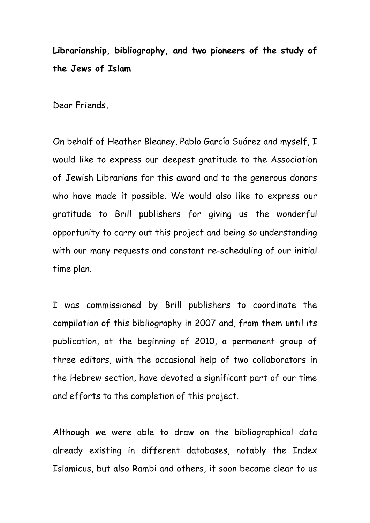**Librarianship, bibliography, and two pioneers of the study of the Jews of Islam**

Dear Friends,

On behalf of Heather Bleaney, Pablo García Suárez and myself, I would like to express our deepest gratitude to the Association of Jewish Librarians for this award and to the generous donors who have made it possible. We would also like to express our gratitude to Brill publishers for giving us the wonderful opportunity to carry out this project and being so understanding with our many requests and constant re-scheduling of our initial time plan.

I was commissioned by Brill publishers to coordinate the compilation of this bibliography in 2007 and, from them until its publication, at the beginning of 2010, a permanent group of three editors, with the occasional help of two collaborators in the Hebrew section, have devoted a significant part of our time and efforts to the completion of this project.

Although we were able to draw on the bibliographical data already existing in different databases, notably the Index Islamicus, but also Rambi and others, it soon became clear to us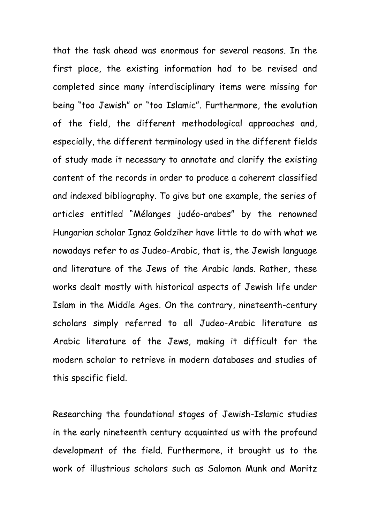that the task ahead was enormous for several reasons. In the first place, the existing information had to be revised and completed since many interdisciplinary items were missing for being "too Jewish" or "too Islamic". Furthermore, the evolution of the field, the different methodological approaches and, especially, the different terminology used in the different fields of study made it necessary to annotate and clarify the existing content of the records in order to produce a coherent classified and indexed bibliography. To give but one example, the series of articles entitled "Mélanges judéo-arabes" by the renowned Hungarian scholar Ignaz Goldziher have little to do with what we nowadays refer to as Judeo-Arabic, that is, the Jewish language and literature of the Jews of the Arabic lands. Rather, these works dealt mostly with historical aspects of Jewish life under Islam in the Middle Ages. On the contrary, nineteenth-century scholars simply referred to all Judeo-Arabic literature as Arabic literature of the Jews, making it difficult for the modern scholar to retrieve in modern databases and studies of this specific field.

Researching the foundational stages of Jewish-Islamic studies in the early nineteenth century acquainted us with the profound development of the field. Furthermore, it brought us to the work of illustrious scholars such as Salomon Munk and Moritz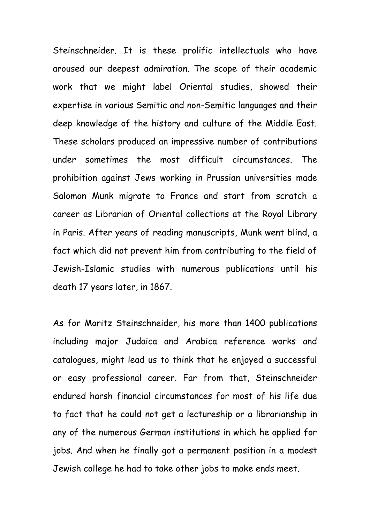Steinschneider. It is these prolific intellectuals who have aroused our deepest admiration. The scope of their academic work that we might label Oriental studies, showed their expertise in various Semitic and non-Semitic languages and their deep knowledge of the history and culture of the Middle East. These scholars produced an impressive number of contributions under sometimes the most difficult circumstances. The prohibition against Jews working in Prussian universities made Salomon Munk migrate to France and start from scratch a career as Librarian of Oriental collections at the Royal Library in Paris. After years of reading manuscripts, Munk went blind, a fact which did not prevent him from contributing to the field of Jewish-Islamic studies with numerous publications until his death 17 years later, in 1867.

As for Moritz Steinschneider, his more than 1400 publications including major Judaica and Arabica reference works and catalogues, might lead us to think that he enjoyed a successful or easy professional career. Far from that, Steinschneider endured harsh financial circumstances for most of his life due to fact that he could not get a lectureship or a librarianship in any of the numerous German institutions in which he applied for jobs. And when he finally got a permanent position in a modest Jewish college he had to take other jobs to make ends meet.